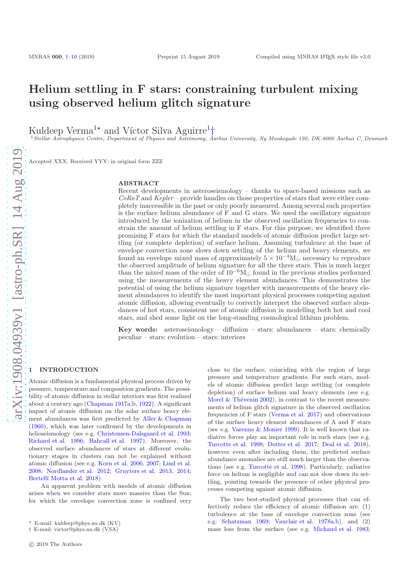# Helium settling in F stars: constraining turbulent mixing using observed helium glitch signature

Kuldeep Verma<sup>1\*</sup> and Víctor Silva Aguirre<sup>1</sup>†

<sup>1</sup>Stellar Astrophysics Centre, Department of Physics and Astronomy, Aarhus University, Ny Munkegade 120, DK-8000 Aarhus C, Denmark

Accepted XXX. Received YYY; in original form ZZZ

### ABSTRACT

Recent developments in asteroseismology – thanks to space-based missions such as  $CoRoT$  and  $Kepler$  – provide handles on those properties of stars that were either completely inaccessible in the past or only poorly measured. Among several such properties is the surface helium abundance of F and G stars. We used the oscillatory signature introduced by the ionization of helium in the observed oscillation frequencies to constrain the amount of helium settling in F stars. For this purpose, we identified three promising F stars for which the standard models of atomic diffusion predict large settling (or complete depletion) of surface helium. Assuming turbulence at the base of envelope convection zone slows down settling of the helium and heavy elements, we found an envelope mixed mass of approximately  $5 \times 10^{-4} M_{\odot}$  necessary to reproduce the observed amplitude of helium signature for all the three stars. This is much larger than the mixed mass of the order of  $10^{-6}M_{\odot}$  found in the previous studies performed using the measurements of the heavy element abundances. This demonstrates the potential of using the helium signature together with measurements of the heavy element abundances to identify the most important physical processes competing against atomic diffusion, allowing eventually to correctly interpret the observed surface abundances of hot stars, consistent use of atomic diffusion in modelling both hot and cool stars, and shed some light on the long-standing cosmological lithium problem.

Key words: asteroseismology – diffusion – stars: abundances – stars: chemically peculiar – stars: evolution – stars: interiors

# <span id="page-0-0"></span>**INTRODUCTION**

Atomic diffusion is a fundamental physical process driven by pressure, temperature and composition gradients. The possibility of atomic diffusion in stellar interiors was first realized about a century ago [\(Chapman 1917a](#page-8-0)[,b](#page-8-1), [1922](#page-8-2)). A significant impact of atomic diffusion on the solar surface heavy element abundances was first predicted by [Aller & Chapman](#page-8-3) [\(1960](#page-8-3)), which was later confirmed by the developments in helioseismology (see e.g. [Christensen-Dalsgaard et al. 1993;](#page-8-4) [Richard et al. 1996](#page-9-0); [Bahcall et al. 1997](#page-8-5)). Moreover, the observed surface abundances of stars at different evolutionary stages in clusters can not be explained without atomic diffusion (see e.g. [Korn et al. 2006,](#page-9-1) [2007;](#page-9-2) [Lind et al.](#page-9-3) [2008](#page-9-3); [Nordlander et al. 2012](#page-9-4); [Gruyters et al. 2013](#page-9-5), [2014;](#page-9-6) [Bertelli Motta et al. 2018](#page-8-6)).

An apparent problem with models of atomic diffusion arises when we consider stars more massive than the Sun, for which the envelope convection zone is confined very close to the surface, coinciding with the region of large pressure and temperature gradients. For such stars, models of atomic diffusion predict large settling (or complete depletion) of surface helium and heavy elements (see e.g. Morel & Thévenin 2002), in contrast to the recent measurements of helium glitch signature in the observed oscillation frequencies of F stars [\(Verma et al. 2017\)](#page-9-8) and observations of the surface heavy element abundances of A and F stars (see e.g. [Varenne & Monier 1999](#page-9-9)). It is well known that radiative forces play an important role in such stars (see e.g. [Turcotte et al. 1998](#page-9-10); [Dotter et al. 2017](#page-9-11); [Deal et al. 2018](#page-9-12)), however even after including them, the predicted surface abundance anomalies are still much larger than the observations (see e.g. [Turcotte et al. 1998](#page-9-10)). Particularly, radiative force on helium is negligible and can not slow down its settling, pointing towards the presence of other physical processes competing against atomic diffusion.

The two best-studied physical processes that can effectively reduce the efficiency of atomic diffusion are: (1) turbulence at the base of envelope convection zone (see e.g. [Schatzman 1969](#page-9-13); [Vauclair et al. 1978a](#page-9-14)[,b](#page-9-15)), and (2) mass loss from the surface (see e.g. [Michaud et al. 1983;](#page-9-16)

<sup>⋆</sup> E-mail: kuldeep@phys.au.dk (KV)

<sup>†</sup> E-mail: victor@phys.au.dk (VSA)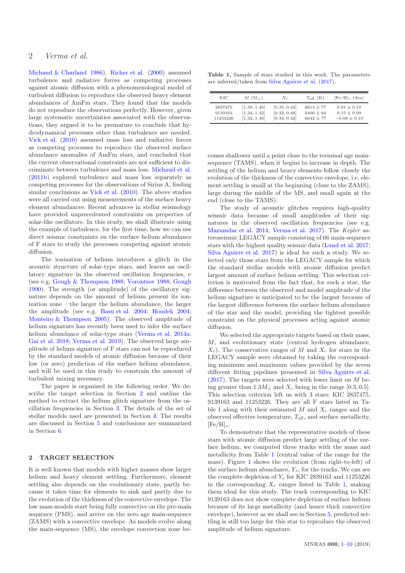# 2 Verma et al.

[Michaud & Charland 1986\)](#page-9-17). [Richer et al.](#page-9-18) [\(2000\)](#page-9-18) assumed turbulence and radiative forces as competing processes against atomic diffusion with a phenomenological model of turbulent diffusion to reproduce the observed heavy element abundances of AmFm stars. They found that the models do not reproduce the observations perfectly. However, given large systematic uncertainties associated with the observations, they argued it to be premature to conclude that hydrodynamical processes other than turbulence are needed. [Vick et al.](#page-9-19) [\(2010](#page-9-19)) assumed mass loss and radiative forces as competing processes to reproduce the observed surface abundance anomalies of AmFm stars, and concluded that the current observational constraints are not sufficient to discriminate between turbulence and mass loss. [Michaud et al.](#page-9-20) [\(2011b](#page-9-20)) explored turbulence and mass loss separately as competing processes for the observations of Sirius A, finding similar conclusions as [Vick et al.](#page-9-19)  $(2010)$ . The above studies were all carried out using measurements of the surface heavy element abundances. Recent advances in stellar seismology have provided unprecedented constraints on properties of solar-like oscillators. In this study, we shall illustrate using the example of turbulence, for the first time, how we can use direct seismic constraints on the surface helium abundance of F stars to study the processes competing against atomic diffusion.

The ionization of helium introduces a glitch in the acoustic structure of solar-type stars, and leaves an oscillatory signature in the observed oscillation frequencies,  $\nu$ (see e.g. [Gough & Thompson 1988](#page-9-21); [Vorontsov 1988;](#page-9-22) [Gough](#page-9-23) [1990](#page-9-23)). The strength (or amplitude) of the oscillatory signature depends on the amount of helium present its ionization zone – the larger the helium abundance, the larger the amplitude (see e.g. [Basu et al. 2004](#page-8-7); [Houdek 2004;](#page-9-24) [Monteiro & Thompson 2005](#page-9-25)). The observed amplitude of helium signature has recently been used to infer the surface helium abundance of solar-type stars [\(Verma et al. 2014a;](#page-9-26) [Gai et al. 2018](#page-9-27); [Verma et al. 2019\)](#page-9-28). The observed large amplitude of helium signature of F stars can not be reproduced by the standard models of atomic diffusion because of their low (or zero) prediction of the surface helium abundance, and will be used in this study to constrain the amount of turbulent mixing necessary.

The paper is organized in the following order. We describe the target selection in Section [2](#page-1-0) and outline the method to extract the helium glitch signature from the oscillation frequencies in Section [3.](#page-2-0) The details of the set of stellar models used are presented in Section [4.](#page-2-1) The results are discussed in Section [5](#page-5-0) and conclusions are summarized in Section [6.](#page-7-0)

# <span id="page-1-0"></span>2 TARGET SELECTION

It is well known that models with higher masses show larger helium and heavy element settling. Furthermore, element settling also depends on the evolutionary state, partly because it takes time for elements to sink and partly due to the evolution of the thickness of the convective envelope. The low mass models start being fully convective on the pre-main sequence (PMS), and arrive on the zero age main-sequence (ZAMS) with a convective envelope. As models evolve along the main-sequence (MS), the envelope convection zone be-

<span id="page-1-1"></span>Table 1. Sample of stars studied in this work. The parameters are inferred/taken from [Silva Aguirre et al.](#page-9-29) [\(2017](#page-9-29)).

| KIC      | $M(\mathrm{M}_{\odot})$ | $X_c$        | $T_{\rm eff}$ (K) | $[Fe/H]_s$ (dex) |
|----------|-------------------------|--------------|-------------------|------------------|
| 2837475  | [1.39, 1.46]            | [0.35, 0.44] | $6614 \pm 77$     | $0.01 + 0.10$    |
| 9139163  | [1.34, 1.42]            | [0.32, 0.48] | $6400 \pm 84$     | $0.15 \pm 0.09$  |
| 11253226 | [1.32, 1.46]            | [0.34, 0.42] | $6642 + 77$       | $-0.08 \pm 0.10$ |

comes shallower until a point close to the terminal age mainsequence (TAMS), when it begins to increase in depth. The settling of the helium and heavy elements follow closely the evolution of the thickness of the convective envelope, i.e. element settling is small at the beginning (close to the ZAMS), large during the middle of the MS, and small again at the end (close to the TAMS).

The study of acoustic glitches requires high-quality seismic data because of small amplitudes of their signatures in the observed oscillation frequencies (see e.g. [Mazumdar et al. 2014](#page-9-30); [Verma et al. 2017\)](#page-9-8). The Kepler asteroseismic LEGACY sample consisting of 66 main-sequence stars with the highest quality seismic data [\(Lund et al. 2017;](#page-9-31) [Silva Aguirre et al. 2017](#page-9-29)) is ideal for such a study. We selected only those stars from the LEGACY sample for which the standard stellar models with atomic diffusion predict largest amount of surface helium settling. This selection criterion is motivated from the fact that, for such a star, the difference between the observed and model amplitude of the helium signature is anticipated to be the largest because of the largest difference between the surface helium abundance of the star and the model, providing the tightest possible constraint on the physical processes acting against atomic diffusion.

We selected the appropriate targets based on their mass, M, and evolutionary state (central hydrogen abundance,  $X_c$ ). The conservative ranges of M and  $X_c$  for stars in the LEGACY sample were obtained by taking the corresponding minimum and maximum values provided by the seven different fitting pipelines presented in [Silva Aguirre et al.](#page-9-29)  $(2017)$  $(2017)$ . The targets were selected with lower limit on M being greater than  $1.3M_{\odot}$  and  $X_c$  being in the range [0.3, 0.5]. This selection criterion left us with 3 stars: KIC 2837475, 9139163 and 11253226. They are all F stars listed in Ta-ble [1](#page-1-1) along with their estimated  $M$  and  $X_c$  ranges and the observed effective temperature,  $T_{\text{eff}}$ , and surface metallicity,  $[Fe/H]_s$ .

To demonstrate that the representative models of these stars with atomic diffusion predict large settling of the surface helium, we computed three tracks with the mass and metallicity from Table [1](#page-1-1) (central value of the range for the mass). Figure [1](#page-2-2) shows the evolution (from right-to-left) of the surface helium abundance,  $Y_s$ , for the tracks. We can see the complete depletion of  $Y_s$  for KIC 2839163 and 11253226 in the corresponding  $X_c$  ranges listed in Table [1,](#page-1-1) making them ideal for this study. The track corresponding to KIC 9139163 does not show complete depletion of surface helium because of its large metallicity (and hence thick convective envelope), however as we shall see in Section [5,](#page-5-0) predicted settling is still too large for this star to reproduce the observed amplitude of helium signature.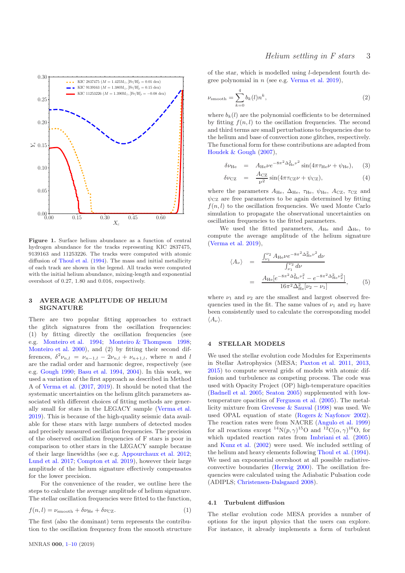

<span id="page-2-2"></span>Figure 1. Surface helium abundance as a function of central hydrogen abundance for the tracks representing KIC 2837475, 9139163 and 11253226. The tracks were computed with atomic diffusion of [Thoul et al.](#page-9-32) [\(1994](#page-9-32)). The mass and initial metallicity of each track are shown in the legend. All tracks were computed with the initial helium abundance, mixing-length and exponential overshoot of 0.27, 1.80 and 0.016, respectively.

# <span id="page-2-0"></span>3 AVERAGE AMPLITUDE OF HELIUM SIGNATURE

There are two popular fitting approaches to extract the glitch signatures from the oscillation frequencies: (1) by fitting directly the oscillation frequencies (see e.g. [Monteiro et al. 1994;](#page-9-33) [Monteiro & Thompson 1998;](#page-9-34) [Monteiro et al. 2000\)](#page-9-35), and (2) by fitting their second differences,  $\delta^2 \nu_{n,l} = \nu_{n-1,l} - 2\nu_{n,l} + \nu_{n+1,l}$ , where *n* and *l* are the radial order and harmonic degree, respectively (see e.g. [Gough 1990](#page-9-23); [Basu et al. 1994](#page-8-8), [2004](#page-8-7)). In this work, we used a variation of the first approach as described in Method A of [Verma et al.](#page-9-8) [\(2017](#page-9-8), [2019](#page-9-28)). It should be noted that the systematic uncertainties on the helium glitch parameters associated with different choices of fitting methods are generally small for stars in the LEGACY sample [\(Verma et al.](#page-9-28) [2019](#page-9-28)). This is because of the high-quality seismic data available for these stars with large numbers of detected modes and precisely measured oscillation frequencies. The precision of the observed oscillation frequencies of F stars is poor in comparison to other stars in the LEGACY sample because of their large linewidths (see e.g. [Appourchaux et al. 2012;](#page-8-9) [Lund et al. 2017](#page-9-31); [Compton et al. 2019](#page-8-10)), however their large amplitude of the helium signature effectively compensates for the lower precision.

For the convenience of the reader, we outline here the steps to calculate the average amplitude of helium signature. The stellar oscillation frequencies were fitted to the function,

$$
f(n,l) = \nu_{\text{smooth}} + \delta \nu_{\text{He}} + \delta \nu_{\text{CZ}}.\tag{1}
$$

The first (also the dominant) term represents the contribution to the oscillation frequency from the smooth structure

# Helium settling in F stars 3

of the star, which is modelled using l-dependent fourth degree polynomial in  $n$  (see e.g. [Verma et al. 2019\)](#page-9-28).

$$
\nu_{\text{smooth}} = \sum_{k=0}^{4} b_k(l) n^k,\tag{2}
$$

where  $b_k(l)$  are the polynomial coefficients to be determined by fitting  $f(n, l)$  to the oscillation frequencies. The second and third terms are small perturbations to frequencies due to the helium and base of convection zone glitches, respectively. The functional form for these contributions are adapted from [Houdek & Gough](#page-9-36) [\(2007\)](#page-9-36),

<span id="page-2-4"></span>
$$
\delta \nu_{\text{He}} = A_{\text{He}} \nu e^{-8\pi^2 \Delta_{\text{He}}^2 \nu^2} \sin(4\pi \tau_{\text{He}} \nu + \psi_{\text{He}}), \quad (3)
$$

$$
\delta\nu_{\rm CZ} = \frac{A_{\rm CZ}}{\nu^2} \sin(4\pi\tau_{\rm CZ}\nu + \psi_{\rm CZ}),\tag{4}
$$

where the parameters  $A_{\text{He}}$ ,  $\Delta_{\text{He}}$ ,  $\tau_{\text{He}}$ ,  $\psi_{\text{He}}$ ,  $A_{\text{CZ}}$ ,  $\tau_{\text{CZ}}$  and  $\psi_{CZ}$  are free parameters to be again determined by fitting  $f(n, l)$  to the oscillation frequencies. We used Monte Carlo simulation to propagate the observational uncertainties on oscillation frequencies to the fitted parameters.

We used the fitted parameters,  $A_{He}$  and  $\Delta_{He}$ , to compute the average amplitude of the helium signature [\(Verma et al. 2019\)](#page-9-28),

<span id="page-2-3"></span>
$$
\langle A_{\nu} \rangle = \frac{\int_{\nu_1}^{\nu_2} A_{\text{He}} \nu e^{-8\pi^2 \Delta_{\text{He}}^2 \nu^2} d\nu}{\int_{\nu_1}^{\nu_2} d\nu}
$$

$$
= \frac{A_{\text{He}} [e^{-8\pi^2 \Delta_{\text{He}}^2 \nu_1^2} - e^{-8\pi^2 \Delta_{\text{He}}^2 \nu_2^2}]}{16\pi^2 \Delta_{\text{He}}^2 [\nu_2 - \nu_1]}, \qquad (5)
$$

where  $\nu_1$  and  $\nu_2$  are the smallest and largest observed frequencies used in the fit. The same values of  $\nu_1$  and  $\nu_2$  have been consistently used to calculate the corresponding model  $\langle A_{\nu}\rangle.$ 

#### <span id="page-2-1"></span>4 STELLAR MODELS

We used the stellar evolution code Modules for Experiments in Stellar Astrophysics (MESA; [Paxton et al. 2011](#page-9-37), [2013,](#page-9-38) [2015](#page-9-39)) to compute several grids of models with atomic diffusion and turbulence as competing process. The code was used with Opacity Project (OP) high-temperature opacities [\(Badnell et al. 2005;](#page-8-11) [Seaton 2005](#page-9-40)) supplemented with lowtemperature opacities of [Ferguson et al.](#page-9-41) [\(2005](#page-9-41)). The metallicity mixture from [Grevesse & Sauval](#page-9-42) [\(1998\)](#page-9-42) was used. We used OPAL equation of state [\(Rogers & Nayfonov 2002](#page-9-43)). The reaction rates were from NACRE [\(Angulo et al. 1999](#page-8-12)) for all reactions except  ${}^{14}N(p,\gamma){}^{15}O$  and  ${}^{12}C(\alpha,\gamma){}^{16}O$ , for which updated reaction rates from [Imbriani et al.](#page-9-44) [\(2005](#page-9-44)) and [Kunz et al.](#page-9-45) [\(2002\)](#page-9-45) were used. We included settling of the helium and heavy elements following [Thoul et al.](#page-9-32) [\(1994](#page-9-32)). We used an exponential overshoot at all possible radiativeconvective boundaries [\(Herwig 2000](#page-9-46)). The oscillation frequencies were calculated using the Adiabatic Pulsation code (ADIPLS; [Christensen-Dalsgaard 2008\)](#page-8-13).

#### 4.1 Turbulent diffusion

The stellar evolution code MESA provides a number of options for the input physics that the users can explore. For instance, it already implements a form of turbulent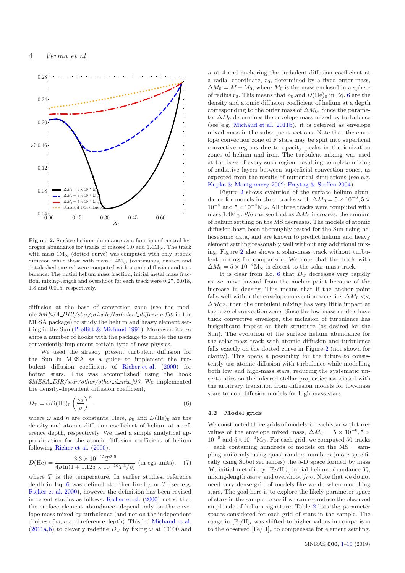

<span id="page-3-1"></span>Figure 2. Surface helium abundance as a function of central hydrogen abundance for tracks of masses 1.0 and  $1.4M_{\odot}$ . The track with mass  $1M_{\odot}$  (dotted curve) was computed with only atomic diffusion while those with mass  $1.4M_{\odot}$  (continuous, dashed and dot-dashed curves) were computed with atomic diffusion and turbulence. The initial helium mass fraction, initial metal mass fraction, mixing-length and overshoot for each track were 0.27, 0.018, 1.8 and 0.015, respectively.

diffusion at the base of convection zone (see the module  $MESA_DIR/star/private/turbulent_diffusion.f90$  in the MESA package) to study the helium and heavy element settling in the Sun [\(Proffitt & Michaud 1991\)](#page-9-47). Moreover, it also ships a number of hooks with the package to enable the users conveniently implement certain type of new physics.

We used the already present turbulent diffusion for the Sun in MESA as a guide to implement the turbulent diffusion coefficient of [Richer et al.](#page-9-18) [\(2000\)](#page-9-18) for hotter stars. This was accomplished using the hook \$MESA\_DIR/star/other/other\_d\_mix.f90. We implemented the density-dependent diffusion coefficient,

$$
D_{\rm T} = \omega D(\text{He})_0 \left(\frac{\rho_0}{\rho}\right)^n, \tag{6}
$$

where  $\omega$  and *n* are constants. Here,  $\rho_0$  and  $D(\text{He})_0$  are the density and atomic diffusion coefficient of helium at a reference depth, respectively. We used a simple analytical approximation for the atomic diffusion coefficient of helium following [Richer et al.](#page-9-18) [\(2000](#page-9-18)),

$$
D(\text{He}) = \frac{3.3 \times 10^{-15} T^{2.5}}{4\rho \ln(1 + 1.125 \times 10^{-16} T^3/\rho)} \text{ (in cgs units)}, \quad (7)
$$

where  $T$  is the temperature. In earlier studies, reference depth in Eq. [6](#page-3-0) was defined at either fixed  $\rho$  or T (see e.g. [Richer et al. 2000](#page-9-18)), however the definition has been revised in recent studies as follows. [Richer et al.](#page-9-18) [\(2000](#page-9-18)) noted that the surface element abundances depend only on the envelope mass mixed by turbulence (and not on the independent choices of  $\omega$ , *n* and reference depth). This led [Michaud et al.](#page-9-48) [\(2011a](#page-9-48)[,b](#page-9-20)) to cleverly redefine  $D<sub>T</sub>$  by fixing  $\omega$  at 10000 and

n at 4 and anchoring the turbulent diffusion coefficient at a radial coordinate,  $r_0$ , determined by a fixed outer mass,  $\Delta M_0 = M - M_0$ , where  $M_0$  is the mass enclosed in a sphere of radius  $r_0$ . This means that  $\rho_0$  and  $D(\text{He})_0$  in Eq. [6](#page-3-0) are the density and atomic diffusion coefficient of helium at a depth corresponding to the outer mass of  $\Delta M_0$ . Since the parameter  $\Delta M_0$  determines the envelope mass mixed by turbulence (see e.g. [Michaud et al. 2011b\)](#page-9-20), it is referred as envelope mixed mass in the subsequent sections. Note that the envelope convection zone of F stars may be split into superficial convective regions due to opacity peaks in the ionization zones of helium and iron. The turbulent mixing was used at the base of every such region, resulting complete mixing of radiative layers between superficial convection zones, as expected from the results of numerical simulations (see e.g. [Kupka & Montgomery 2002](#page-9-49); [Freytag & Steffen 2004](#page-9-50)).

Figure [2](#page-3-1) shows evolution of the surface helium abundance for models in three tracks with  $\Delta M_0 = 5 \times 10^{-6}, 5 \times$  $10^{-5}$  and  $5 \times 10^{-4}$ M<sub>☉</sub>. All three tracks were computed with mass 1.4M⊙. We can see that as  $\Delta M_0$  increases, the amount of helium settling on the MS decreases. The models of atomic diffusion have been thoroughly tested for the Sun using helioseismic data, and are known to predict helium and heavy element settling reasonably well without any additional mixing. Figure [2](#page-3-1) also shows a solar-mass track without turbulent mixing for comparison. We note that the track with  $\Delta M_0 = 5 \times 10^{-4}$ M<sub>⊙</sub> is closest to the solar-mass track.

It is clear from Eq. [6](#page-3-0) that  $D_T$  decreases very rapidly as we move inward from the anchor point because of the increase in density. This means that if the anchor point falls well within the envelope convection zone, i.e.  $\Delta M_0 \ll$  $\Delta M_{\text{CZ}}$ , then the turbulent mixing has very little impact at the base of convection zone. Since the low-mass models have thick convective envelope, the inclusion of turbulence has insignificant impact on their structure (as desired for the Sun). The evolution of the surface helium abundance for the solar-mass track with atomic diffusion and turbulence falls exactly on the dotted curve in Figure [2](#page-3-1) (not shown for clarity). This opens a possibility for the future to consistently use atomic diffusion with turbulence while modelling both low and high-mass stars, reducing the systematic uncertainties on the inferred stellar properties associated with the arbitrary transition from diffusion models for low-mass stars to non-diffusion models for high-mass stars.

#### <span id="page-3-0"></span>4.2 Model grids

We constructed three grids of models for each star with three values of the envelope mixed mass,  $\Delta M_0 = 5 \times 10^{-6}, 5 \times$  $10^{-5}$  and  $5 \times 10^{-4}$ M<sub>☉</sub>. For each grid, we computed 50 tracks – each containing hundreds of models on the MS – sampling uniformly using quasi-random numbers (more specifically using Sobol sequences) the 5-D space formed by mass M, initial metallicity  $[Fe/H]_i$ , initial helium abundance  $Y_i$ , mixing-length  $\alpha_{\text{MLT}}$  and overshoot  $f_{\text{OV}}$ . Note that we do not need very dense grid of models like we do when modelling stars. The goal here is to explore the likely parameter space of stars in the sample to see if we can reproduce the observed amplitude of helium signature. Table [2](#page-5-1) lists the parameter spaces considered for each grid of stars in the sample. The range in  $[Fe/H]_i$  was shifted to higher values in comparison to the observed  $[Fe/H]_s$  to compensate for element settling.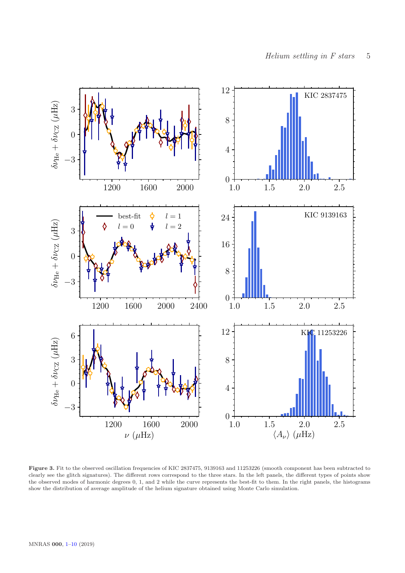

<span id="page-4-0"></span>Figure 3. Fit to the observed oscillation frequencies of KIC 2837475, 9139163 and 11253226 (smooth component has been subtracted to clearly see the glitch signatures). The different rows correspond to the three stars. In the left panels, the different types of points show the observed modes of harmonic degrees 0, 1, and 2 while the curve represents the best-fit to them. In the right panels, the histograms show the distribution of average amplitude of the helium signature obtained using Monte Carlo simulation.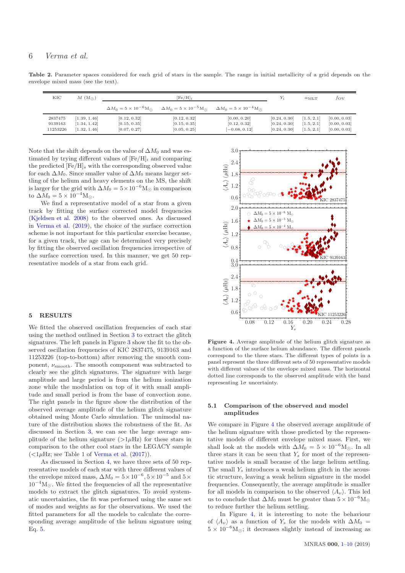# 6 Verma et al.

Table 2. Parameter spaces considered for each grid of stars in the sample. The range in initial metallicity of a grid depends on the envelope mixed mass (see the text).

<span id="page-5-1"></span>

| KIC                            | $M(\mathrm{M}_{\odot})$                      | $[Fe/H]_i$                                   |                                                  |                                                 |                                              | $\alpha_{\rm MLT}$                     | tov                                          |
|--------------------------------|----------------------------------------------|----------------------------------------------|--------------------------------------------------|-------------------------------------------------|----------------------------------------------|----------------------------------------|----------------------------------------------|
|                                |                                              | $\Delta M_0 = 5 \times 10^{-6}$ M $_{\odot}$ | $\Delta M_0 = 5 \times 10^{-5} \text{M}_{\odot}$ | $\Delta M_0 = 5 \times 10^{-4} M_{\odot}$       |                                              |                                        |                                              |
| 2837475<br>9139163<br>11253226 | [1.39, 1.46]<br>[1.34, 1.42]<br>[1.32, 1.46] | [0.12, 0.32]<br>[0.15, 0.35]<br>[0.07, 0.27] | [0.12, 0.32]<br>[0.15, 0.35]<br>[0.05, 0.25]     | [0.00, 0.20]<br>[0.12, 0.32]<br>$[-0.08, 0.12]$ | [0.24, 0.30]<br>[0.24, 0.30]<br>[0.24, 0.30] | [1.5, 2.1]<br>[1.5, 2.1]<br>[1.5, 2.1] | [0.00, 0.03]<br>[0.00, 0.03]<br>[0.00, 0.03] |

Note that the shift depends on the value of  $\Delta M_0$  and was estimated by trying different values of  $[Fe/H]_i$  and comparing the predicted  $[Fe/H]_s$  with the corresponding observed value for each  $\Delta M_0$ . Since smaller value of  $\Delta M_0$  means larger settling of the helium and heavy elements on the MS, the shift is larger for the grid with  $\Delta M_0 = 5 \times 10^{-6} M_{\odot}$  in comparison to  $\Delta M_0 = 5 \times 10^{-4} M_{\odot}$ .

We find a representative model of a star from a given track by fitting the surface corrected model frequencies [\(Kjeldsen et al. 2008\)](#page-9-51) to the observed ones. As discussed in [Verma et al.](#page-9-28) [\(2019](#page-9-28)), the choice of the surface correction scheme is not important for this particular exercise because, for a given track, the age can be determined very precisely by fitting the observed oscillation frequencies irrespective of the surface correction used. In this manner, we get 50 representative models of a star from each grid.

# <span id="page-5-0"></span>5 RESULTS

We fitted the observed oscillation frequencies of each star using the method outlined in Section [3](#page-2-0) to extract the glitch signatures. The left panels in Figure [3](#page-4-0) show the fit to the observed oscillation frequencies of KIC 2837475, 9139163 and 11253226 (top-to-bottom) after removing the smooth component,  $\nu_{\rm smooth}$ . The smooth component was subtracted to clearly see the glitch signatures. The signature with large amplitude and large period is from the helium ionization zone while the modulation on top of it with small amplitude and small period is from the base of convection zone. The right panels in the figure show the distribution of the observed average amplitude of the helium glitch signature obtained using Monte Carlo simulation. The unimodal nature of the distribution shows the robustness of the fit. As discussed in Section [3,](#page-2-0) we can see the large average amplitude of the helium signature  $(>\!1\mu$ Hz) for these stars in comparison to the other cool stars in the LEGACY sample  $\zeta$  (<1µHz; see Table 1 of [Verma et al.](#page-9-8) [\(2017\)](#page-9-8)).

As discussed in Section [4,](#page-2-1) we have three sets of 50 representative models of each star with three different values of the envelope mixed mass,  $\Delta M_0 = 5 \times 10^{-6}$ ,  $5 \times 10^{-5}$  and  $5 \times$  $10^{-4}M_{\odot}$ . We fitted the frequencies of all the representative models to extract the glitch signatures. To avoid systematic uncertainties, the fit was performed using the same set of modes and weights as for the observations. We used the fitted parameters for all the models to calculate the corresponding average amplitude of the helium signature using Eq. [5.](#page-2-3)



<span id="page-5-2"></span>Figure 4. Average amplitude of the helium glitch signature as a function of the surface helium abundance. The different panels correspond to the three stars. The different types of points in a panel represent the three different sets of 50 representative models with different values of the envelope mixed mass. The horizontal dotted line corresponds to the observed amplitude with the band representing  $1\sigma$  uncertainty.

## 5.1 Comparison of the observed and model amplitudes

We compare in Figure [4](#page-5-2) the observed average amplitude of the helium signature with those predicted by the representative models of different envelope mixed mass. First, we shall look at the models with  $\Delta M_0 = 5 \times 10^{-6} M_{\odot}$ . In all three stars it can be seen that  $Y_s$  for most of the representative models is small because of the large helium settling. The small  $Y_s$  introduces a weak helium glitch in the acoustic structure, leaving a weak helium signature in the model frequencies. Consequently, the average amplitude is smaller for all models in comparison to the observed  $\langle A_{\nu} \rangle$ . This led us to conclude that  $\Delta M_0$  must be greater than  $5 \times 10^{-6}$ M $\odot$ to reduce further the helium settling.

In Figure [4,](#page-5-2) it is interesting to note the behaviour of  $\langle A_{\nu} \rangle$  as a function of Y<sub>s</sub> for the models with  $\Delta M_0 =$  $5 \times 10^{-6}$ M<sub>☉</sub>; it decreases slightly instead of increasing as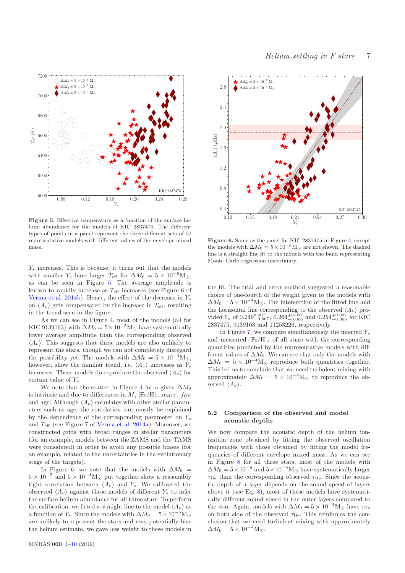

<span id="page-6-0"></span>Figure 5. Effective temperature as a function of the surface helium abundance for the models of KIC 2837475. The different types of points in a panel represent the three different sets of 50 representative models with different values of the envelope mixed mass.

Ys

 $Y_s$  increases. This is because, it turns out that the models with smaller  $Y_s$  have larger  $T_{\text{eff}}$  for  $\Delta M_0 = 5 \times 10^{-6} \text{M}_{\odot}$ , as can be seen in Figure [5.](#page-6-0) The average amplitude is known to rapidly increase as  $T_{\text{eff}}$  increases (see Figure 6 of [Verma et al. 2014b](#page-9-52)). Hence, the effect of the decrease in  $Y_s$ on  $\langle A_{\nu} \rangle$  gets compensated by the increase in  $T_{\text{eff}}$ , resulting in the trend seen in the figure.

As we can see in Figure [4,](#page-5-2) most of the models (all for KIC 9139163) with  $\Delta M_0 = 5 \times 10^{-5} M_{\odot}$  have systematically lower average amplitude than the corresponding observed  $\langle A_{\nu} \rangle$ . This suggests that these models are also unlikely to represent the stars, though we can not completely disregard the possibility yet. The models with  $\Delta M_0 = 5 \times 10^{-4} M_{\odot}$ , however, show the familiar trend, i.e.  $\langle A_{\nu} \rangle$  increases as  $Y_s$ increases. These models do reproduce the observed  $\langle A_{\nu} \rangle$  for certain value of  $Y_s$ .

We note that the scatter in Figure [4](#page-5-2) for a given  $\Delta M_0$ is intrinsic and due to differences in M,  $[Fe/H]_i$ ,  $\alpha_{\text{MLT}}$ , fov and age. Although  $\langle A_{\nu} \rangle$  correlates with other stellar parameters such as age, the correlation can mostly be explained by the dependence of the corresponding parameter on  $Y_s$ and  $T_{\text{eff}}$  (see Figure 7 of [Verma et al. 2014a](#page-9-26)). Moreover, we constructed grids with broad ranges in stellar parameters (for an example, models between the ZAMS and the TAMS were considered) in order to avoid any possible biases (for an example, related to the uncertainties in the evolutionary stage of the targets).

In Figure [6,](#page-6-1) we note that the models with  $\Delta M_0$  =  $5 \times 10^{-5}$  and  $5 \times 10^{-4} M_{\odot}$  put together show a reasonably tight correlation between  $\langle A_{\nu} \rangle$  and  $Y_s$ . We calibrated the observed  $\langle A_{\nu} \rangle$  against these models of different Y<sub>s</sub> to infer the surface helium abundance for all three stars. To perform the calibration, we fitted a straight line to the model  $\langle A_{\nu} \rangle$  as a function of  $Y_s$ . Since the models with  $\Delta M_0 = 5 \times 10^{-5}$ M<sub>⊙</sub> are unlikely to represent the stars and may potentially bias the helium estimate, we gave less weight to these models in



<span id="page-6-1"></span>Figure 6. Same as the panel for KIC 2837475 in Figure [4,](#page-5-2) except the models with  $\Delta M_0 = 5 \times 10^{-6} M_{\odot}$  are not shown. The dashed line is a straight line fit to the models with the band representing Monte Carlo regression uncertainty.

the fit. The trial and error method suggested a reasonable choice of one-fourth of the weight given to the models with  $\Delta M_0 = 5 \times 10^{-4}$ M<sub>⊙</sub>. The intersection of the fitted line and the horizontal line corresponding to the observed  $\langle A_{\nu} \rangle$  provided  $Y_s$  of 0.249<sup>0.007</sup>, 0.264<sup>+0.007</sup> and 0.254<sup>+0.007</sup> for KIC 2837475, 9139163 and 11253226, respectively.

In Figure [7,](#page-7-1) we compare simultaneously the inferred  $Y_s$ and measured  $[Fe/H]_s$  of all stars with the corresponding quantities predicted by the representative models with different values of  $\Delta M_0$ . We can see that only the models with  $\Delta M_0 = 5 \times 10^{-4}$ M<sub>⊙</sub> reproduce both quantities together. This led us to conclude that we need turbulent mixing with approximately  $\Delta M_0 = 5 \times 10^{-4} M_{\odot}$  to reproduce the observed  $\langle A_{\nu} \rangle$ .

# 5.2 Comparison of the observed and model acoustic depths

We now compare the acoustic depth of the helium ionization zone obtained by fitting the observed oscillation frequencies with those obtained by fitting the model frequencies of different envelope mixed mass. As we can see in Figure [8](#page-7-2) for all three stars, most of the models with  $\Delta M_0 = 5 \times 10^{-6}$  and  $5 \times 10^{-5}$ M<sub>☉</sub> have systematically larger  $\tau_{\text{He}}$  than the corresponding observed  $\tau_{\text{He}}$ . Since the acoustic depth of a layer depends on the sound speed of layers above it (see Eq. [8\)](#page-7-3), most of these models have systematically different sound speed in the outer layers compared to the star. Again, models with  $\Delta M_0 = 5 \times 10^{-4} \text{M}_{\odot}$  have  $\tau_{\text{He}}$ on both side of the observed  $\tau_{\text{He}}$ . This reinforces the conclusion that we need turbulent mixing with approximately  $\Delta M_0 = 5 \times 10^{-4} \text{M}_{\odot}.$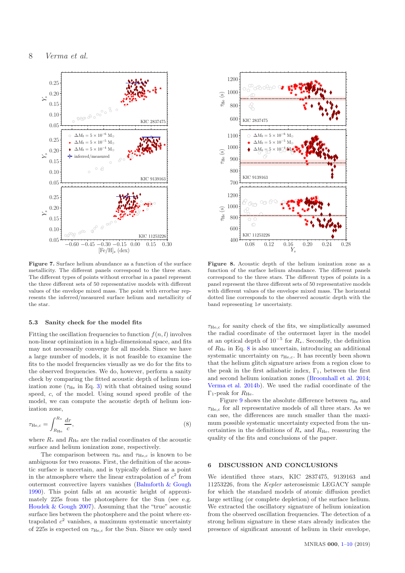

<span id="page-7-1"></span>Figure 7. Surface helium abundance as a function of the surface metallicity. The different panels correspond to the three stars. The different types of points without errorbar in a panel represent the three different sets of 50 representative models with different values of the envelope mixed mass. The point with errorbar represents the inferred/measured surface helium and metallicity of the star.

#### 5.3 Sanity check for the model fits

Fitting the oscillation frequencies to function  $f(n, l)$  involves non-linear optimization in a high-dimensional space, and fits may not necessarily converge for all models. Since we have a large number of models, it is not feasible to examine the fits to the model frequencies visually as we do for the fits to the observed frequencies. We do, however, perform a sanity check by comparing the fitted acoustic depth of helium ionization zone  $(\tau_{\text{He}}$  in Eq. [3\)](#page-2-4) with that obtained using sound speed, c, of the model. Using sound speed profile of the model, we can compute the acoustic depth of helium ionization zone,

<span id="page-7-3"></span>
$$
\tau_{\text{He,c}} = \int_{R_{\text{He}}}^{R_*} \frac{dr}{c},\tag{8}
$$

where  $R_*$  and  $R_{\text{He}}$  are the radial coordinates of the acoustic surface and helium ionization zone, respectively.

The comparison between  $\tau_{He}$  and  $\tau_{He,c}$  is known to be ambiguous for two reasons. First, the definition of the acoustic surface is uncertain, and is typically defined as a point in the atmosphere where the linear extrapolation of  $c^2$  from outermost convective layers vanishes [\(Balmforth & Gough](#page-8-14) [1990](#page-8-14)). This point falls at an acoustic height of approximately 225s from the photosphere for the Sun (see e.g. [Houdek & Gough 2007](#page-9-36)). Assuming that the "true" acoustic surface lies between the photosphere and the point where extrapolated  $c^2$  vanishes, a maximum systematic uncertainty of 225s is expected on  $\tau_{\text{He,c}}$  for the Sun. Since we only used

![](_page_7_Figure_8.jpeg)

<span id="page-7-2"></span>Figure 8. Acoustic depth of the helium ionization zone as a function of the surface helium abundance. The different panels correspond to the three stars. The different types of points in a panel represent the three different sets of 50 representative models with different values of the envelope mixed mass. The horizontal dotted line corresponds to the observed acoustic depth with the band representing  $1\sigma$  uncertainty.

 $\tau_{\text{He},c}$  for sanity check of the fits, we simplistically assumed the radial coordinate of the outermost layer in the model at an optical depth of  $10^{-5}$  for  $R_*$ . Secondly, the definition of  $R_{\text{He}}$  in Eq. [8](#page-7-3) is also uncertain, introducing an additional systematic uncertainty on  $\tau_{\text{He,c}}$ . It has recently been shown that the helium glitch signature arises from a region close to the peak in the first adiabatic index,  $\Gamma_1$ , between the first and second helium ionization zones [\(Broomhall et al. 2014;](#page-8-15) [Verma et al. 2014b](#page-9-52)). We used the radial coordinate of the  $\Gamma_1$ -peak for  $R_{\text{He}}$ .

Figure [9](#page-8-16) shows the absolute difference between  $\tau_{\text{He}}$  and  $\tau_{\text{He,c}}$  for all representative models of all three stars. As we can see, the differences are much smaller than the maximum possible systematic uncertainty expected from the uncertainties in the definitions of  $R_*$  and  $R_{\text{He}}$ , reassuring the quality of the fits and conclusions of the paper.

## <span id="page-7-0"></span>6 DISCUSSION AND CONCLUSIONS

We identified three stars, KIC 2837475, 9139163 and 11253226, from the Kepler asteroseismic LEGACY sample for which the standard models of atomic diffusion predict large settling (or complete depletion) of the surface helium. We extracted the oscillatory signature of helium ionization from the observed oscillation frequencies. The detection of a strong helium signature in these stars already indicates the presence of significant amount of helium in their envelope,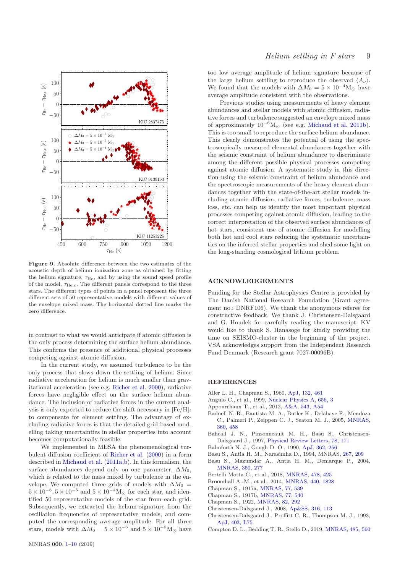![](_page_8_Figure_0.jpeg)

<span id="page-8-16"></span>Figure 9. Absolute difference between the two estimates of the acoustic depth of helium ionization zone as obtained by fitting the helium signature,  $\tau_{\text{He}}$ , and by using the sound speed profile of the model,  $\tau_{\text{He,c}}$ . The different panels correspond to the three stars. The different types of points in a panel represent the three different sets of 50 representative models with different values of the envelope mixed mass. The horizontal dotted line marks the zero difference.

in contrast to what we would anticipate if atomic diffusion is the only process determining the surface helium abundance. This confirms the presence of additional physical processes competing against atomic diffusion.

In the current study, we assumed turbulence to be the only process that slows down the settling of helium. Since radiative acceleration for helium is much smaller than gravitational acceleration (see e.g. [Richer et al. 2000](#page-9-18)), radiative forces have negligible effect on the surface helium abundance. The inclusion of radiative forces in the current analysis is only expected to reduce the shift necessary in  $[Fe/H]_i$ to compensate for element settling. The advantage of excluding radiative forces is that the detailed grid-based modelling taking uncertainties in stellar properties into account becomes computationally feasible.

We implemented in MESA the phenomenological turbulent diffusion coefficient of [Richer et al.](#page-9-18) [\(2000\)](#page-9-18) in a form described in [Michaud et al.](#page-9-48) [\(2011a](#page-9-48)[,b](#page-9-20)). In this formalism, the surface abundances depend only on one parameter,  $\Delta M_0$ , which is related to the mass mixed by turbulence in the envelope. We computed three grids of models with  $\Delta M_0 =$  $5 \times 10^{-6}$ ,  $5 \times 10^{-5}$  and  $5 \times 10^{-4}$ M<sub>☉</sub> for each star, and identified 50 representative models of the star from each grid. Subsequently, we extracted the helium signature from the oscillation frequencies of representative models, and computed the corresponding average amplitude. For all three stars, models with  $\Delta M_0 = 5 \times 10^{-6}$  and  $5 \times 10^{-5}$ M<sub>☉</sub> have too low average amplitude of helium signature because of the large helium settling to reproduce the observed  $\langle A_{\nu} \rangle$ . We found that the models with  $\Delta M_0 = 5 \times 10^{-4} M_{\odot}$  have average amplitude consistent with the observations.

Previous studies using measurements of heavy element abundances and stellar models with atomic diffusion, radiative forces and turbulence suggested an envelope mixed mass of approximately  $10^{-6}M_{\odot}$  (see e.g. [Michaud et al. 2011b](#page-9-20)). This is too small to reproduce the surface helium abundance. This clearly demonstrates the potential of using the spectroscopically measured elemental abundances together with the seismic constraint of helium abundance to discriminate among the different possible physical processes competing against atomic diffusion. A systematic study in this direction using the seismic constraint of helium abundance and the spectroscopic measurements of the heavy element abundances together with the state-of-the-art stellar models including atomic diffusion, radiative forces, turbulence, mass loss, etc. can help us identify the most important physical processes competing against atomic diffusion, leading to the correct interpretation of the observed surface abundances of hot stars, consistent use of atomic diffusion for modelling both hot and cool stars reducing the systematic uncertainties on the inferred stellar properties and shed some light on the long-standing cosmological lithium problem.

# ACKNOWLEDGEMENTS

Funding for the Stellar Astrophysics Centre is provided by The Danish National Research Foundation (Grant agreement no.: DNRF106). We thank the anonymous referee for constructive feedback. We thank J. Christensen-Dalsgaard and G. Houdek for carefully reading the manuscript. KV would like to thank S. Hanasoge for kindly providing the time on SEISMO-cluster in the beginning of the project. VSA acknowledges support from the Independent Research Fund Denmark (Research grant 7027-00096B).

# REFERENCES

- <span id="page-8-3"></span>Aller L. H., Chapman S., 1960, [ApJ,](http://dx.doi.org/10.1086/146943) [132, 461](http://adsabs.harvard.edu/abs/1960ApJ...132..461A)
- <span id="page-8-12"></span>Angulo C., et al., 1999, [Nuclear Physics A,](http://dx.doi.org/10.1016/S0375-9474(99)00030-5) [656, 3](http://adsabs.harvard.edu/abs/1999NuPhA.656....3A)
- <span id="page-8-9"></span>Appourchaux T., et al., 2012, [A&A,](http://dx.doi.org/10.1051/0004-6361/201218948) [543, A54](http://adsabs.harvard.edu/abs/2012A%26A...543A..54A)
- <span id="page-8-11"></span>Badnell N. R., Bautista M. A., Butler K., Delahaye F., Mendoza C., Palmeri P., Zeippen C. J., Seaton M. J., 2005, [MNRAS,](http://dx.doi.org/10.1111/j.1365-2966.2005.08991.x) [360, 458](http://adsabs.harvard.edu/abs/2005MNRAS.360..458B)
- <span id="page-8-5"></span>Bahcall J. N., Pinsonneault M. H., Basu S., Christensen-Dalsgaard J., 1997, [Physical Review Letters,](http://dx.doi.org/10.1103/PhysRevLett.78.171) [78, 171](http://adsabs.harvard.edu/abs/1997PhRvL..78..171B)
- <span id="page-8-14"></span>Balmforth N. J., Gough D. O., 1990, [ApJ,](http://dx.doi.org/10.1086/169262) [362, 256](http://adsabs.harvard.edu/abs/1990ApJ...362..256B)
- <span id="page-8-8"></span>Basu S., Antia H. M., Narasimha D., 1994, MNRAS, [267, 209](http://adsabs.harvard.edu/abs/1994MNRAS.267..209B)
- <span id="page-8-7"></span>Basu S., Mazumdar A., Antia H. M., Demarque P., 2004, [MNRAS,](http://dx.doi.org/10.1111/j.1365-2966.2004.07644.x) [350, 277](http://adsabs.harvard.edu/abs/2004MNRAS.350..277B)
- <span id="page-8-6"></span>Bertelli Motta C., et al., 2018, [MNRAS,](http://dx.doi.org/10.1093/mnras/sty1011) [478, 425](https://ui.adsabs.harvard.edu/#abs/2018MNRAS.478..425B)
- <span id="page-8-15"></span>Broomhall A.-M., et al., 2014, [MNRAS,](http://dx.doi.org/10.1093/mnras/stu393) [440, 1828](http://adsabs.harvard.edu/abs/2014MNRAS.440.1828B)
- <span id="page-8-0"></span>Chapman S., 1917a, [MNRAS,](http://dx.doi.org/10.1093/mnras/77.7.539) [77, 539](http://adsabs.harvard.edu/abs/1917MNRAS..77..539C)
- <span id="page-8-1"></span>Chapman S., 1917b, [MNRAS,](http://dx.doi.org/10.1093/mnras/77.7.540) [77, 540](http://adsabs.harvard.edu/abs/1917MNRAS..77..540C)
- <span id="page-8-2"></span>Chapman S., 1922, [MNRAS,](http://dx.doi.org/10.1093/mnras/82.5.292) [82, 292](http://adsabs.harvard.edu/abs/1922MNRAS..82..292C)
- <span id="page-8-13"></span>Christensen-Dalsgaard J., 2008, [Ap&SS,](http://dx.doi.org/10.1007/s10509-007-9689-z) [316, 113](http://adsabs.harvard.edu/abs/2008Ap%26SS.316..113C)
- <span id="page-8-4"></span>Christensen-Dalsgaard J., Proffitt C. R., Thompson M. J., 1993, [ApJ,](http://dx.doi.org/10.1086/186725) [403, L75](http://adsabs.harvard.edu/abs/1993ApJ...403L..75C)
- <span id="page-8-10"></span>Compton D. L., Bedding T. R., Stello D., 2019, [MNRAS,](http://dx.doi.org/10.1093/mnras/stz432) [485, 560](https://ui.adsabs.harvard.edu/abs/2019MNRAS.485..560C)